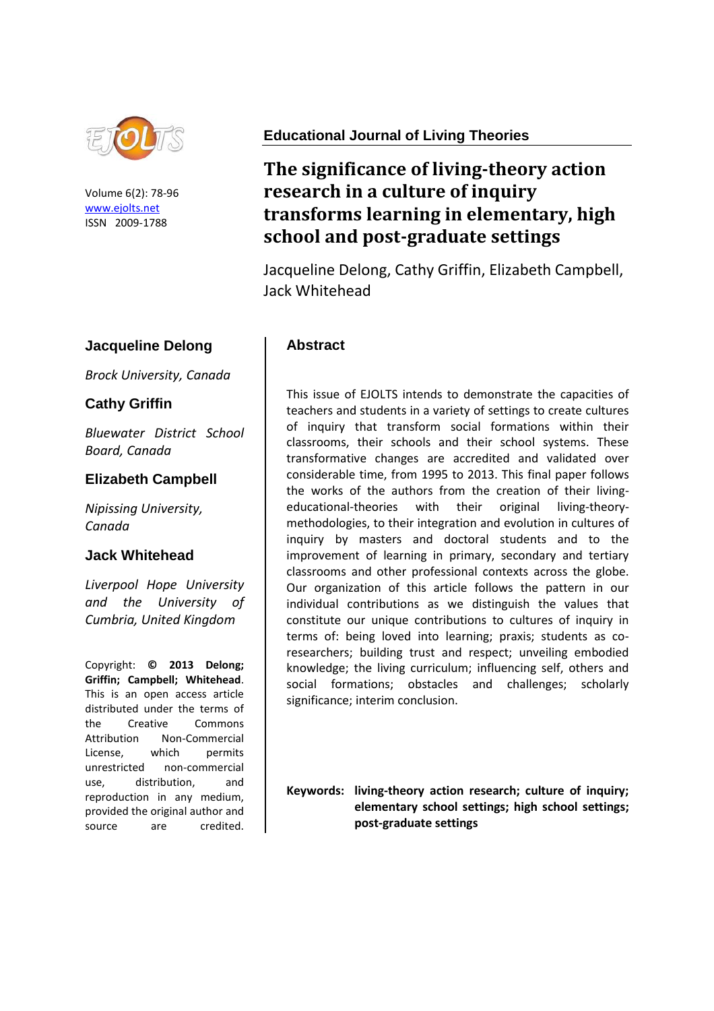

Volume 6(2): 78-96 [www.ejolts.net](http://www.ejolts.net/) ISSN 2009-1788

## **Jacqueline Delong**

*Brock University, Canada*

## **Cathy Griffin**

*Bluewater District School Board, Canada*

### **Elizabeth Campbell**

*Nipissing University, Canada*

#### **Jack Whitehead**

*Liverpool Hope University and the University of Cumbria, United Kingdom*

Copyright: **© 2013 Delong; Griffin; Campbell; Whitehead**. This is an open access article distributed under the terms of the Creative Commons Attribution Non-Commercial License, which permits unrestricted non-commercial use, distribution, and reproduction in any medium, provided the original author and source are credited.

## **Educational Journal of Living Theories**

# **The significance of living-theory action research in a culture of inquiry transforms learning in elementary, high school and post-graduate settings**

Jacqueline Delong, Cathy Griffin, Elizabeth Campbell, Jack Whitehead

### **Abstract**

This issue of EJOLTS intends to demonstrate the capacities of teachers and students in a variety of settings to create cultures of inquiry that transform social formations within their classrooms, their schools and their school systems. These transformative changes are accredited and validated over considerable time, from 1995 to 2013. This final paper follows the works of the authors from the creation of their livingeducational-theories with their original living-theorymethodologies, to their integration and evolution in cultures of inquiry by masters and doctoral students and to the improvement of learning in primary, secondary and tertiary classrooms and other professional contexts across the globe. Our organization of this article follows the pattern in our individual contributions as we distinguish the values that constitute our unique contributions to cultures of inquiry in terms of: being loved into learning; praxis; students as coresearchers; building trust and respect; unveiling embodied knowledge; the living curriculum; influencing self, others and social formations; obstacles and challenges; scholarly significance; interim conclusion.

**Keywords: living-theory action research; culture of inquiry; elementary school settings; high school settings; post-graduate settings**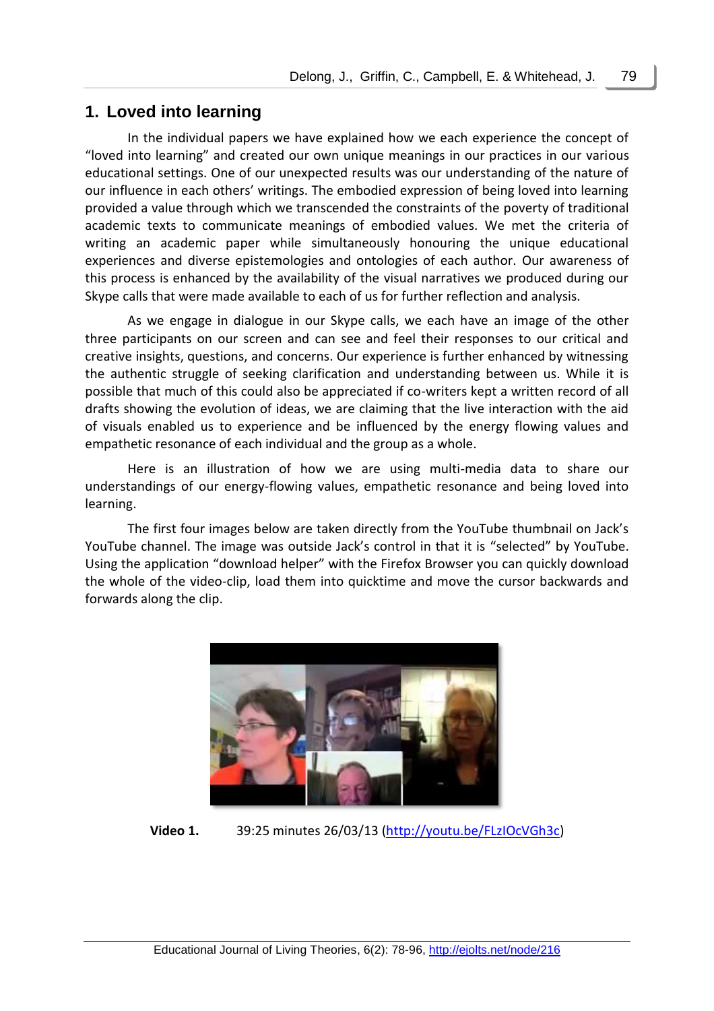## **1. Loved into learning**

In the individual papers we have explained how we each experience the concept of "loved into learning" and created our own unique meanings in our practices in our various educational settings. One of our unexpected results was our understanding of the nature of our influence in each others' writings. The embodied expression of being loved into learning provided a value through which we transcended the constraints of the poverty of traditional academic texts to communicate meanings of embodied values. We met the criteria of writing an academic paper while simultaneously honouring the unique educational experiences and diverse epistemologies and ontologies of each author. Our awareness of this process is enhanced by the availability of the visual narratives we produced during our Skype calls that were made available to each of us for further reflection and analysis.

As we engage in dialogue in our Skype calls, we each have an image of the other three participants on our screen and can see and feel their responses to our critical and creative insights, questions, and concerns. Our experience is further enhanced by witnessing the authentic struggle of seeking clarification and understanding between us. While it is possible that much of this could also be appreciated if co-writers kept a written record of all drafts showing the evolution of ideas, we are claiming that the live interaction with the aid of visuals enabled us to experience and be influenced by the energy flowing values and empathetic resonance of each individual and the group as a whole.

Here is an illustration of how we are using multi-media data to share our understandings of our energy-flowing values, empathetic resonance and being loved into learning.

The first four images below are taken directly from the YouTube thumbnail on Jack's YouTube channel. The image was outside Jack's control in that it is "selected" by YouTube. Using the application "download helper" with the Firefox Browser you can quickly download the whole of the video-clip, load them into quicktime and move the cursor backwards and forwards along the clip.



**Video 1.** 39:25 minutes 26/03/13 [\(http://youtu.be/FLzIOcVGh3c\)](http://youtu.be/FLzIOcVGh3c)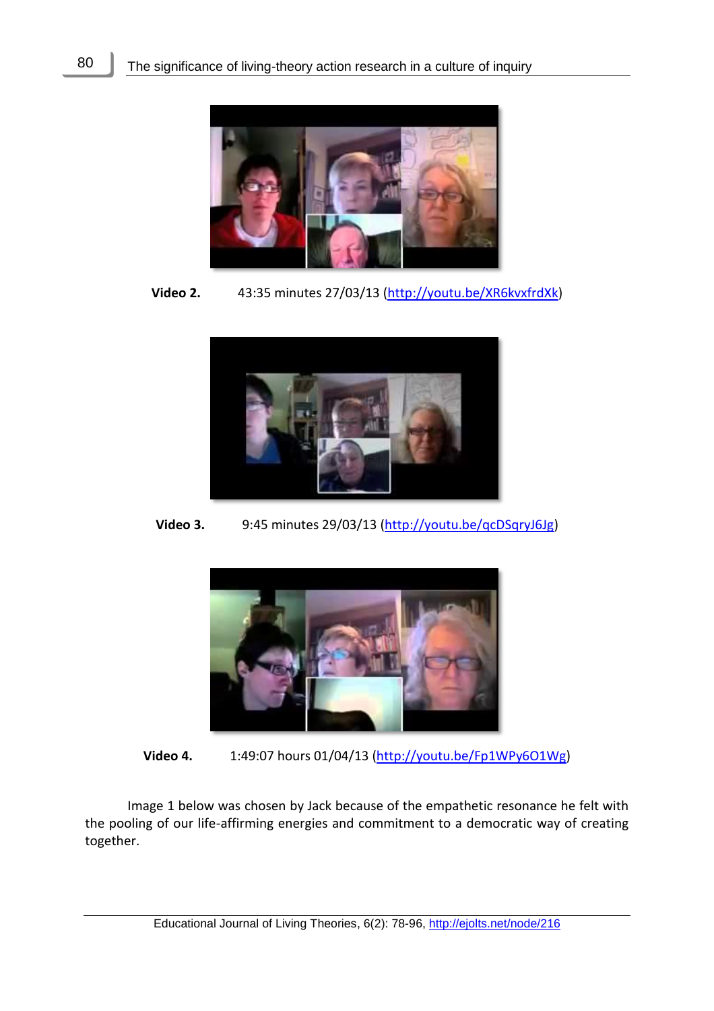80



**Video 2.** 43:35 minutes 27/03/13 [\(http://youtu.be/XR6kvxfrdXk\)](http://youtu.be/XR6kvxfrdXk)



**Video 3.** 9:45 minutes 29/03/13 [\(http://youtu.be/qcDSqryJ6Jg\)](http://youtu.be/qcDSqryJ6Jg)



**Video 4.** 1:49:07 hours 01/04/13 [\(http://youtu.be/Fp1WPy6O1Wg\)](http://youtu.be/Fp1WPy6O1Wg)

Image 1 below was chosen by Jack because of the empathetic resonance he felt with the pooling of our life-affirming energies and commitment to a democratic way of creating together.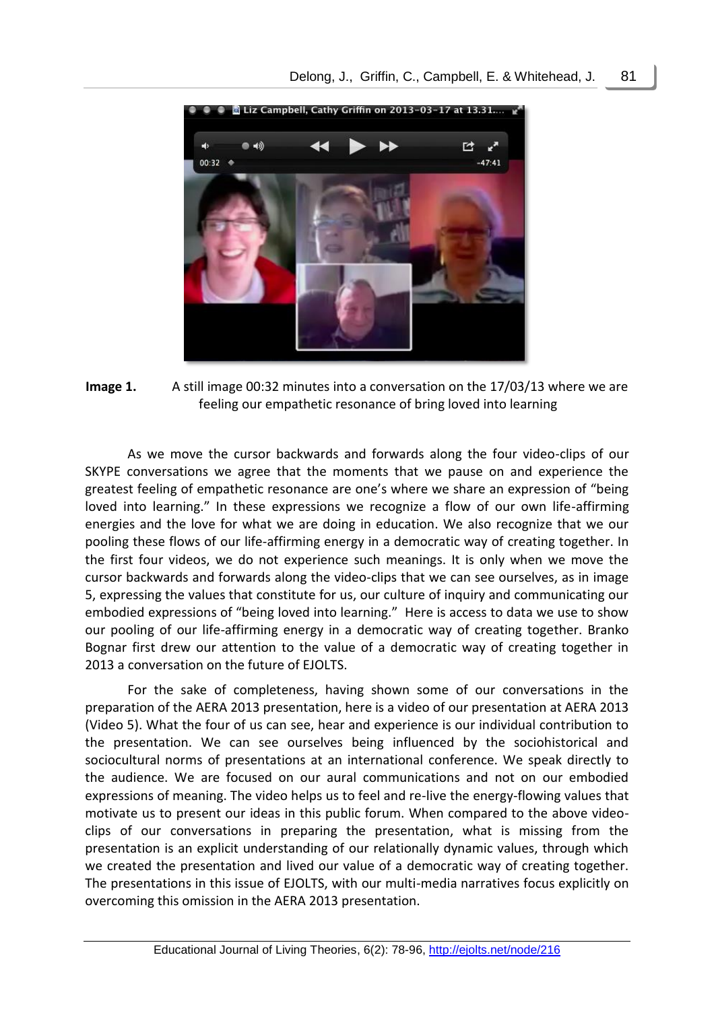

**Image 1.** A still image 00:32 minutes into a conversation on the 17/03/13 where we are feeling our empathetic resonance of bring loved into learning

As we move the cursor backwards and forwards along the four video-clips of our SKYPE conversations we agree that the moments that we pause on and experience the greatest feeling of empathetic resonance are one's where we share an expression of "being loved into learning." In these expressions we recognize a flow of our own life-affirming energies and the love for what we are doing in education. We also recognize that we our pooling these flows of our life-affirming energy in a democratic way of creating together. In the first four videos, we do not experience such meanings. It is only when we move the cursor backwards and forwards along the video-clips that we can see ourselves, as in image 5, expressing the values that constitute for us, our culture of inquiry and communicating our embodied expressions of "being loved into learning." Here is access to data we use to show our pooling of our life-affirming energy in a democratic way of creating together. Branko Bognar first drew our attention to the value of a democratic way of creating together in 2013 a conversation on the future of EJOLTS.

For the sake of completeness, having shown some of our conversations in the preparation of the AERA 2013 presentation, here is a video of our presentation at AERA 2013 (Video 5). What the four of us can see, hear and experience is our individual contribution to the presentation. We can see ourselves being influenced by the sociohistorical and sociocultural norms of presentations at an international conference. We speak directly to the audience. We are focused on our aural communications and not on our embodied expressions of meaning. The video helps us to feel and re-live the energy-flowing values that motivate us to present our ideas in this public forum. When compared to the above videoclips of our conversations in preparing the presentation, what is missing from the presentation is an explicit understanding of our relationally dynamic values, through which we created the presentation and lived our value of a democratic way of creating together. The presentations in this issue of EJOLTS, with our multi-media narratives focus explicitly on overcoming this omission in the AERA 2013 presentation.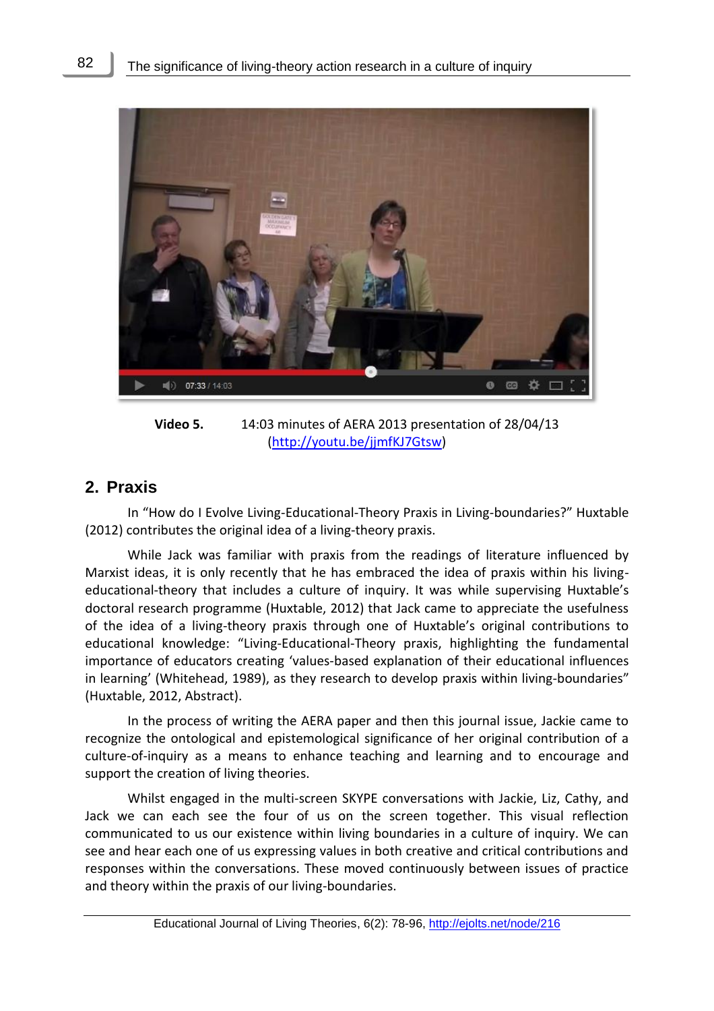

**Video 5.** 14:03 minutes of AERA 2013 presentation of 28/04/13 [\(http://youtu.be/jjmfKJ7Gtsw\)](http://youtu.be/jjmfKJ7Gtsw)

## **2. Praxis**

In "How do I Evolve Living-Educational-Theory Praxis in Living-boundaries?" Huxtable (2012) contributes the original idea of a living-theory praxis.

While Jack was familiar with praxis from the readings of literature influenced by Marxist ideas, it is only recently that he has embraced the idea of praxis within his livingeducational-theory that includes a culture of inquiry. It was while supervising Huxtable's doctoral research programme (Huxtable, 2012) that Jack came to appreciate the usefulness of the idea of a living-theory praxis through one of Huxtable's original contributions to educational knowledge: "Living-Educational-Theory praxis, highlighting the fundamental importance of educators creating 'values-based explanation of their educational influences in learning' (Whitehead, 1989), as they research to develop praxis within living-boundaries" (Huxtable, 2012, Abstract).

In the process of writing the AERA paper and then this journal issue, Jackie came to recognize the ontological and epistemological significance of her original contribution of a culture-of-inquiry as a means to enhance teaching and learning and to encourage and support the creation of living theories.

Whilst engaged in the multi-screen SKYPE conversations with Jackie, Liz, Cathy, and Jack we can each see the four of us on the screen together. This visual reflection communicated to us our existence within living boundaries in a culture of inquiry. We can see and hear each one of us expressing values in both creative and critical contributions and responses within the conversations. These moved continuously between issues of practice and theory within the praxis of our living-boundaries.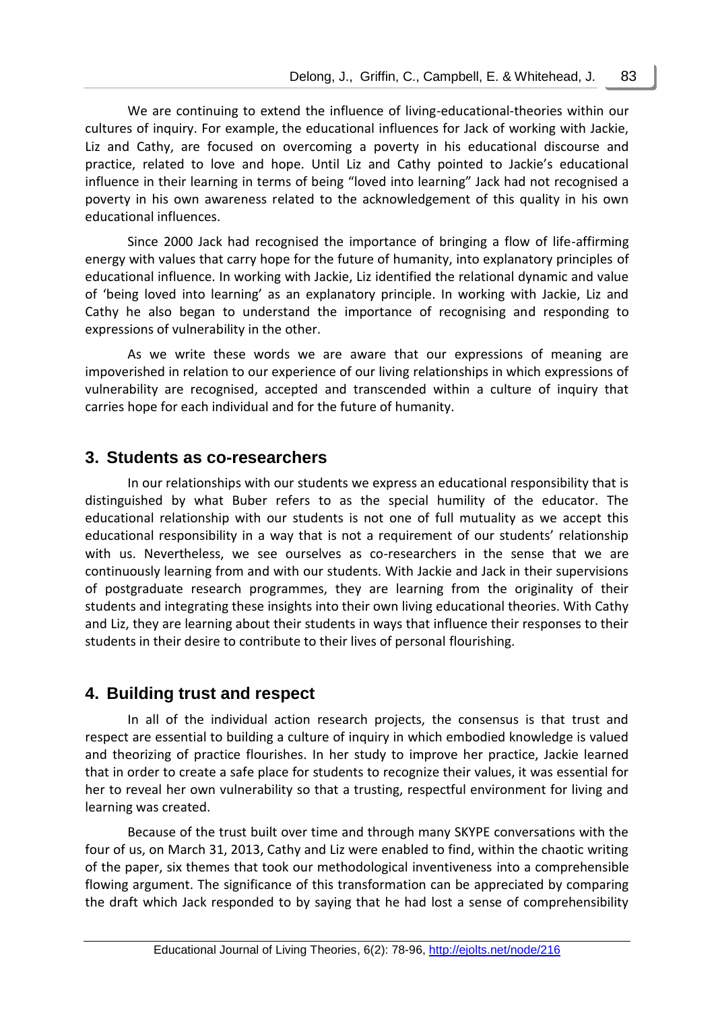We are continuing to extend the influence of living-educational-theories within our cultures of inquiry. For example, the educational influences for Jack of working with Jackie, Liz and Cathy, are focused on overcoming a poverty in his educational discourse and practice, related to love and hope. Until Liz and Cathy pointed to Jackie's educational influence in their learning in terms of being "loved into learning" Jack had not recognised a poverty in his own awareness related to the acknowledgement of this quality in his own educational influences.

Since 2000 Jack had recognised the importance of bringing a flow of life-affirming energy with values that carry hope for the future of humanity, into explanatory principles of educational influence. In working with Jackie, Liz identified the relational dynamic and value of 'being loved into learning' as an explanatory principle. In working with Jackie, Liz and Cathy he also began to understand the importance of recognising and responding to expressions of vulnerability in the other.

As we write these words we are aware that our expressions of meaning are impoverished in relation to our experience of our living relationships in which expressions of vulnerability are recognised, accepted and transcended within a culture of inquiry that carries hope for each individual and for the future of humanity.

## **3. Students as co-researchers**

In our relationships with our students we express an educational responsibility that is distinguished by what Buber refers to as the special humility of the educator. The educational relationship with our students is not one of full mutuality as we accept this educational responsibility in a way that is not a requirement of our students' relationship with us. Nevertheless, we see ourselves as co-researchers in the sense that we are continuously learning from and with our students. With Jackie and Jack in their supervisions of postgraduate research programmes, they are learning from the originality of their students and integrating these insights into their own living educational theories. With Cathy and Liz, they are learning about their students in ways that influence their responses to their students in their desire to contribute to their lives of personal flourishing.

## **4. Building trust and respect**

In all of the individual action research projects, the consensus is that trust and respect are essential to building a culture of inquiry in which embodied knowledge is valued and theorizing of practice flourishes. In her study to improve her practice, Jackie learned that in order to create a safe place for students to recognize their values, it was essential for her to reveal her own vulnerability so that a trusting, respectful environment for living and learning was created.

Because of the trust built over time and through many SKYPE conversations with the four of us, on March 31, 2013, Cathy and Liz were enabled to find, within the chaotic writing of the paper, six themes that took our methodological inventiveness into a comprehensible flowing argument. The significance of this transformation can be appreciated by comparing the draft which Jack responded to by saying that he had lost a sense of comprehensibility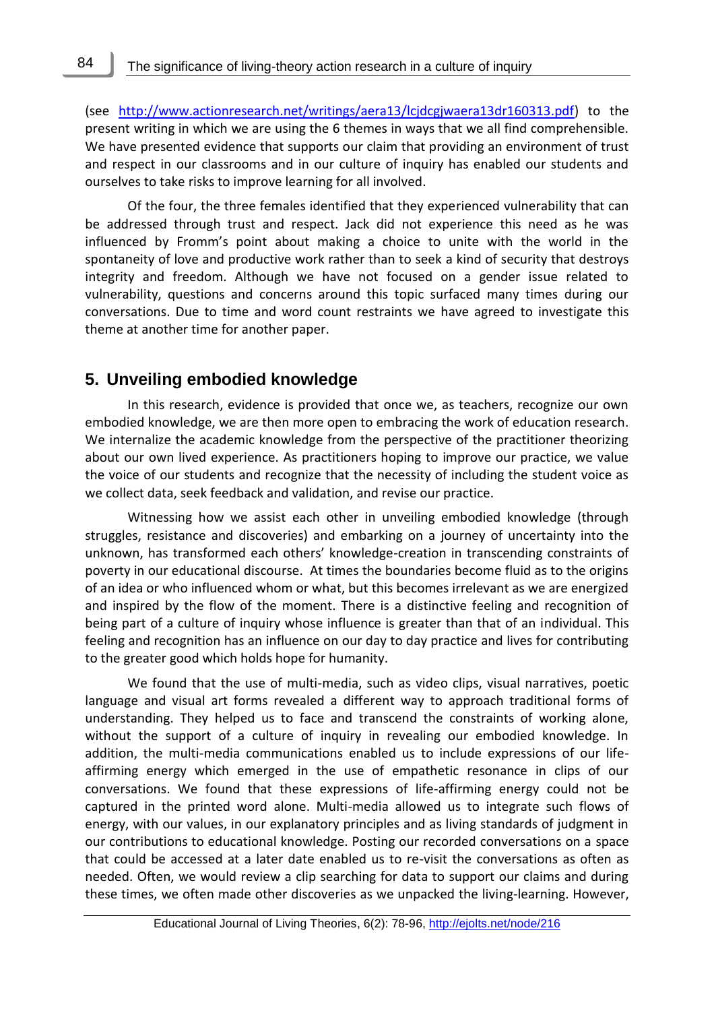(see [http://www.actionresearch.net/writings/aera13/lcjdcgjwaera13dr160313.pdf\)](http://www.actionresearch.net/writings/aera13/lcjdcgjwaera13dr160313.pdf) to the present writing in which we are using the 6 themes in ways that we all find comprehensible. We have presented evidence that supports our claim that providing an environment of trust and respect in our classrooms and in our culture of inquiry has enabled our students and ourselves to take risks to improve learning for all involved.

Of the four, the three females identified that they experienced vulnerability that can be addressed through trust and respect. Jack did not experience this need as he was influenced by Fromm's point about making a choice to unite with the world in the spontaneity of love and productive work rather than to seek a kind of security that destroys integrity and freedom. Although we have not focused on a gender issue related to vulnerability, questions and concerns around this topic surfaced many times during our conversations. Due to time and word count restraints we have agreed to investigate this theme at another time for another paper.

### **5. Unveiling embodied knowledge**

In this research, evidence is provided that once we, as teachers, recognize our own embodied knowledge, we are then more open to embracing the work of education research. We internalize the academic knowledge from the perspective of the practitioner theorizing about our own lived experience. As practitioners hoping to improve our practice, we value the voice of our students and recognize that the necessity of including the student voice as we collect data, seek feedback and validation, and revise our practice.

Witnessing how we assist each other in unveiling embodied knowledge (through struggles, resistance and discoveries) and embarking on a journey of uncertainty into the unknown, has transformed each others' knowledge-creation in transcending constraints of poverty in our educational discourse. At times the boundaries become fluid as to the origins of an idea or who influenced whom or what, but this becomes irrelevant as we are energized and inspired by the flow of the moment. There is a distinctive feeling and recognition of being part of a culture of inquiry whose influence is greater than that of an individual. This feeling and recognition has an influence on our day to day practice and lives for contributing to the greater good which holds hope for humanity.

We found that the use of multi-media, such as video clips, visual narratives, poetic language and visual art forms revealed a different way to approach traditional forms of understanding. They helped us to face and transcend the constraints of working alone, without the support of a culture of inquiry in revealing our embodied knowledge. In addition, the multi-media communications enabled us to include expressions of our lifeaffirming energy which emerged in the use of empathetic resonance in clips of our conversations. We found that these expressions of life-affirming energy could not be captured in the printed word alone. Multi-media allowed us to integrate such flows of energy, with our values, in our explanatory principles and as living standards of judgment in our contributions to educational knowledge. Posting our recorded conversations on a space that could be accessed at a later date enabled us to re-visit the conversations as often as needed. Often, we would review a clip searching for data to support our claims and during these times, we often made other discoveries as we unpacked the living-learning. However,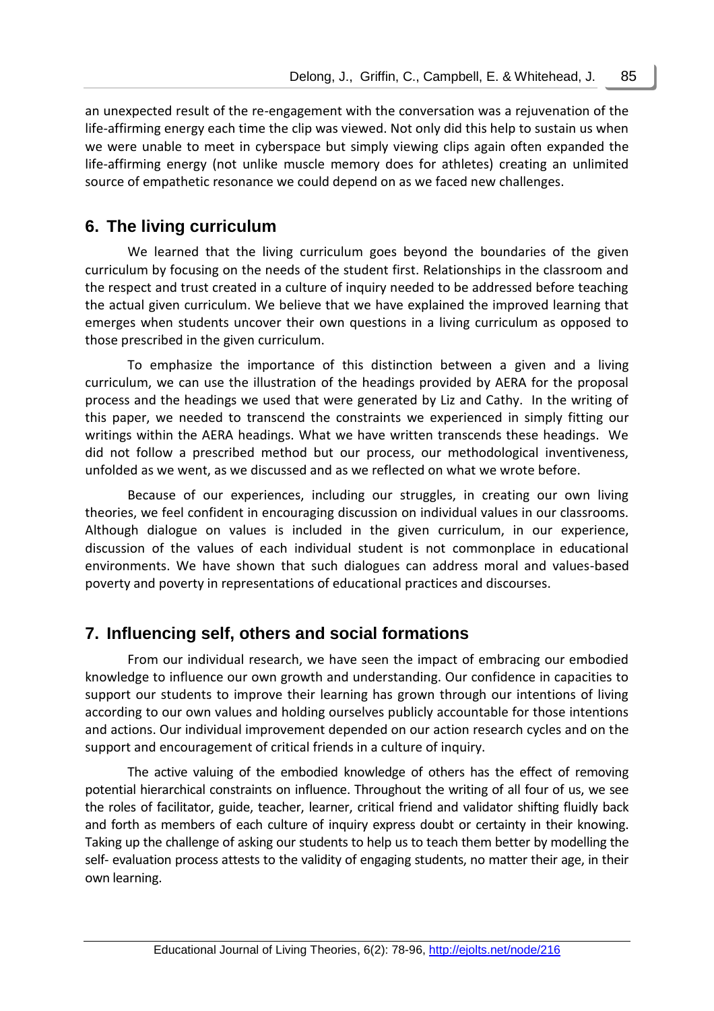an unexpected result of the re-engagement with the conversation was a rejuvenation of the life-affirming energy each time the clip was viewed. Not only did this help to sustain us when we were unable to meet in cyberspace but simply viewing clips again often expanded the life-affirming energy (not unlike muscle memory does for athletes) creating an unlimited source of empathetic resonance we could depend on as we faced new challenges.

## **6. The living curriculum**

We learned that the living curriculum goes beyond the boundaries of the given curriculum by focusing on the needs of the student first. Relationships in the classroom and the respect and trust created in a culture of inquiry needed to be addressed before teaching the actual given curriculum. We believe that we have explained the improved learning that emerges when students uncover their own questions in a living curriculum as opposed to those prescribed in the given curriculum.

To emphasize the importance of this distinction between a given and a living curriculum, we can use the illustration of the headings provided by AERA for the proposal process and the headings we used that were generated by Liz and Cathy. In the writing of this paper, we needed to transcend the constraints we experienced in simply fitting our writings within the AERA headings. What we have written transcends these headings. We did not follow a prescribed method but our process, our methodological inventiveness, unfolded as we went, as we discussed and as we reflected on what we wrote before.

Because of our experiences, including our struggles, in creating our own living theories, we feel confident in encouraging discussion on individual values in our classrooms. Although dialogue on values is included in the given curriculum, in our experience, discussion of the values of each individual student is not commonplace in educational environments. We have shown that such dialogues can address moral and values-based poverty and poverty in representations of educational practices and discourses.

## **7. Influencing self, others and social formations**

From our individual research, we have seen the impact of embracing our embodied knowledge to influence our own growth and understanding. Our confidence in capacities to support our students to improve their learning has grown through our intentions of living according to our own values and holding ourselves publicly accountable for those intentions and actions. Our individual improvement depended on our action research cycles and on the support and encouragement of critical friends in a culture of inquiry.

The active valuing of the embodied knowledge of others has the effect of removing potential hierarchical constraints on influence. Throughout the writing of all four of us, we see the roles of facilitator, guide, teacher, learner, critical friend and validator shifting fluidly back and forth as members of each culture of inquiry express doubt or certainty in their knowing. Taking up the challenge of asking our students to help us to teach them better by modelling the self- evaluation process attests to the validity of engaging students, no matter their age, in their own learning.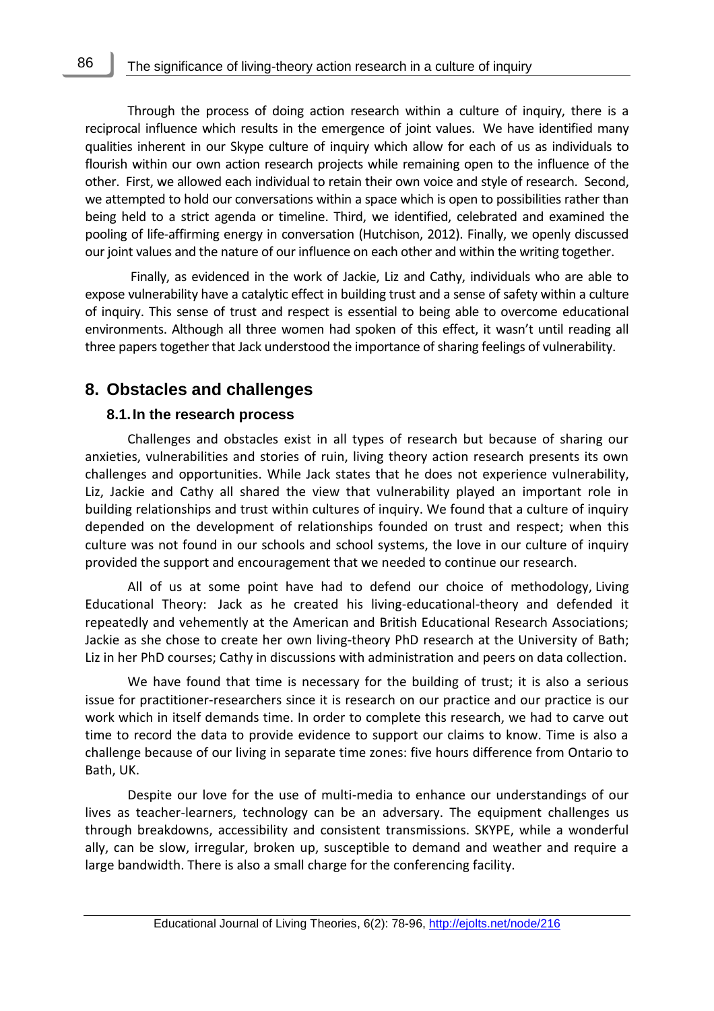Through the process of doing action research within a culture of inquiry, there is a reciprocal influence which results in the emergence of joint values. We have identified many qualities inherent in our Skype culture of inquiry which allow for each of us as individuals to flourish within our own action research projects while remaining open to the influence of the other. First, we allowed each individual to retain their own voice and style of research. Second, we attempted to hold our conversations within a space which is open to possibilities rather than being held to a strict agenda or timeline. Third, we identified, celebrated and examined the pooling of life-affirming energy in conversation (Hutchison, 2012). Finally, we openly discussed our joint values and the nature of our influence on each other and within the writing together.

Finally, as evidenced in the work of Jackie, Liz and Cathy, individuals who are able to expose vulnerability have a catalytic effect in building trust and a sense of safety within a culture of inquiry. This sense of trust and respect is essential to being able to overcome educational environments. Although all three women had spoken of this effect, it wasn't until reading all three papers together that Jack understood the importance of sharing feelings of vulnerability.

## **8. Obstacles and challenges**

#### **8.1.In the research process**

Challenges and obstacles exist in all types of research but because of sharing our anxieties, vulnerabilities and stories of ruin, living theory action research presents its own challenges and opportunities. While Jack states that he does not experience vulnerability, Liz, Jackie and Cathy all shared the view that vulnerability played an important role in building relationships and trust within cultures of inquiry. We found that a culture of inquiry depended on the development of relationships founded on trust and respect; when this culture was not found in our schools and school systems, the love in our culture of inquiry provided the support and encouragement that we needed to continue our research.

All of us at some point have had to defend our choice of methodology, Living Educational Theory: Jack as he created his living-educational-theory and defended it repeatedly and vehemently at the American and British Educational Research Associations; Jackie as she chose to create her own living-theory PhD research at the University of Bath; Liz in her PhD courses; Cathy in discussions with administration and peers on data collection.

We have found that time is necessary for the building of trust; it is also a serious issue for practitioner-researchers since it is research on our practice and our practice is our work which in itself demands time. In order to complete this research, we had to carve out time to record the data to provide evidence to support our claims to know. Time is also a challenge because of our living in separate time zones: five hours difference from Ontario to Bath, UK.

Despite our love for the use of multi-media to enhance our understandings of our lives as teacher-learners, technology can be an adversary. The equipment challenges us through breakdowns, accessibility and consistent transmissions. SKYPE, while a wonderful ally, can be slow, irregular, broken up, susceptible to demand and weather and require a large bandwidth. There is also a small charge for the conferencing facility.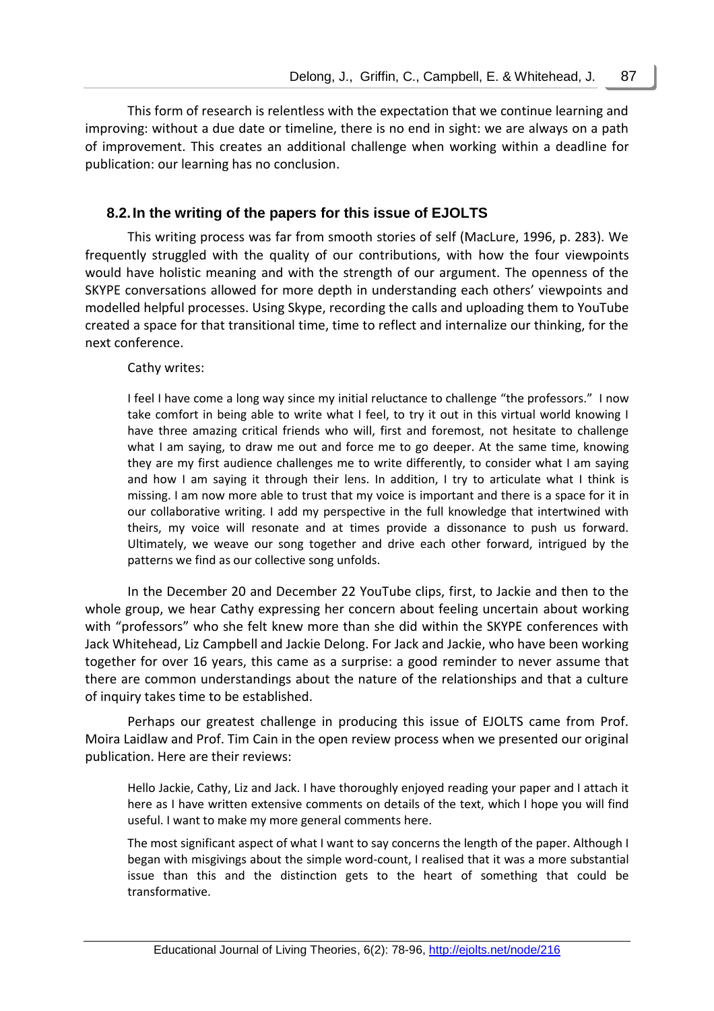This form of research is relentless with the expectation that we continue learning and improving: without a due date or timeline, there is no end in sight: we are always on a path of improvement. This creates an additional challenge when working within a deadline for publication: our learning has no conclusion.

## **8.2.In the writing of the papers for this issue of EJOLTS**

This writing process was far from smooth stories of self (MacLure, 1996, p. 283). We frequently struggled with the quality of our contributions, with how the four viewpoints would have holistic meaning and with the strength of our argument. The openness of the SKYPE conversations allowed for more depth in understanding each others' viewpoints and modelled helpful processes. Using Skype, recording the calls and uploading them to YouTube created a space for that transitional time, time to reflect and internalize our thinking, for the next conference.

#### Cathy writes:

I feel I have come a long way since my initial reluctance to challenge "the professors." I now take comfort in being able to write what I feel, to try it out in this virtual world knowing I have three amazing critical friends who will, first and foremost, not hesitate to challenge what I am saying, to draw me out and force me to go deeper. At the same time, knowing they are my first audience challenges me to write differently, to consider what I am saying and how I am saying it through their lens. In addition, I try to articulate what I think is missing. I am now more able to trust that my voice is important and there is a space for it in our collaborative writing. I add my perspective in the full knowledge that intertwined with theirs, my voice will resonate and at times provide a dissonance to push us forward. Ultimately, we weave our song together and drive each other forward, intrigued by the patterns we find as our collective song unfolds.

In the December 20 and December 22 YouTube clips, first, to Jackie and then to the whole group, we hear Cathy expressing her concern about feeling uncertain about working with "professors" who she felt knew more than she did within the SKYPE conferences with Jack Whitehead, Liz Campbell and Jackie Delong. For Jack and Jackie, who have been working together for over 16 years, this came as a surprise: a good reminder to never assume that there are common understandings about the nature of the relationships and that a culture of inquiry takes time to be established.

Perhaps our greatest challenge in producing this issue of EJOLTS came from Prof. Moira Laidlaw and Prof. Tim Cain in the open review process when we presented our original publication. Here are their reviews:

Hello Jackie, Cathy, Liz and Jack. I have thoroughly enjoyed reading your paper and I attach it here as I have written extensive comments on details of the text, which I hope you will find useful. I want to make my more general comments here.

The most significant aspect of what I want to say concerns the length of the paper. Although I began with misgivings about the simple word-count, I realised that it was a more substantial issue than this and the distinction gets to the heart of something that could be transformative.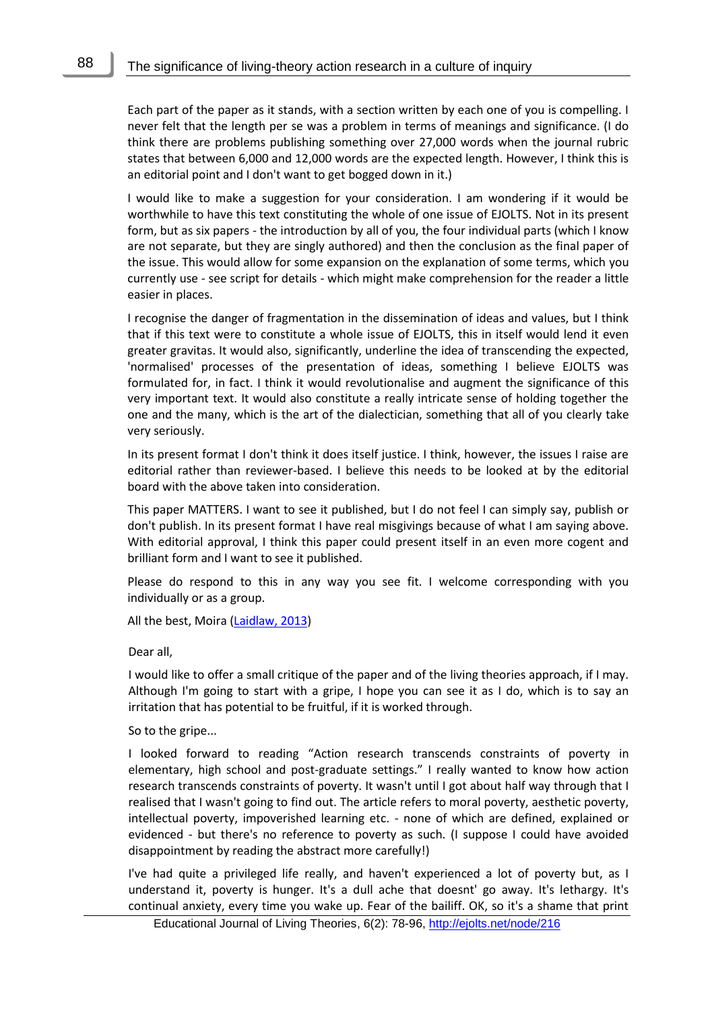Each part of the paper as it stands, with a section written by each one of you is compelling. I never felt that the length per se was a problem in terms of meanings and significance. (I do think there are problems publishing something over 27,000 words when the journal rubric states that between 6,000 and 12,000 words are the expected length. However, I think this is an editorial point and I don't want to get bogged down in it.)

I would like to make a suggestion for your consideration. I am wondering if it would be worthwhile to have this text constituting the whole of one issue of EJOLTS. Not in its present form, but as six papers - the introduction by all of you, the four individual parts (which I know are not separate, but they are singly authored) and then the conclusion as the final paper of the issue. This would allow for some expansion on the explanation of some terms, which you currently use - see script for details - which might make comprehension for the reader a little easier in places.

I recognise the danger of fragmentation in the dissemination of ideas and values, but I think that if this text were to constitute a whole issue of EJOLTS, this in itself would lend it even greater gravitas. It would also, significantly, underline the idea of transcending the expected, 'normalised' processes of the presentation of ideas, something I believe EJOLTS was formulated for, in fact. I think it would revolutionalise and augment the significance of this very important text. It would also constitute a really intricate sense of holding together the one and the many, which is the art of the dialectician, something that all of you clearly take very seriously.

In its present format I don't think it does itself justice. I think, however, the issues I raise are editorial rather than reviewer-based. I believe this needs to be looked at by the editorial board with the above taken into consideration.

This paper MATTERS. I want to see it published, but I do not feel I can simply say, publish or don't publish. In its present format I have real misgivings because of what I am saying above. With editorial approval, I think this paper could present itself in an even more cogent and brilliant form and I want to see it published.

Please do respond to this in any way you see fit. I welcome corresponding with you individually or as a group.

All the best, Moira [\(Laidlaw, 2013\)](http://ejolts.org/mod/forum/discuss.php?d=88)

Dear all,

I would like to offer a small critique of the paper and of the living theories approach, if I may. Although I'm going to start with a gripe, I hope you can see it as I do, which is to say an irritation that has potential to be fruitful, if it is worked through.

So to the gripe...

I looked forward to reading "Action research transcends constraints of poverty in elementary, high school and post-graduate settings." I really wanted to know how action research transcends constraints of poverty. It wasn't until I got about half way through that I realised that I wasn't going to find out. The article refers to moral poverty, aesthetic poverty, intellectual poverty, impoverished learning etc. - none of which are defined, explained or evidenced - but there's no reference to poverty as such. (I suppose I could have avoided disappointment by reading the abstract more carefully!)

I've had quite a privileged life really, and haven't experienced a lot of poverty but, as I understand it, poverty is hunger. It's a dull ache that doesnt' go away. It's lethargy. It's continual anxiety, every time you wake up. Fear of the bailiff. OK, so it's a shame that print

Educational Journal of Living Theories, 6(2): 78-96,<http://ejolts.net/node/216>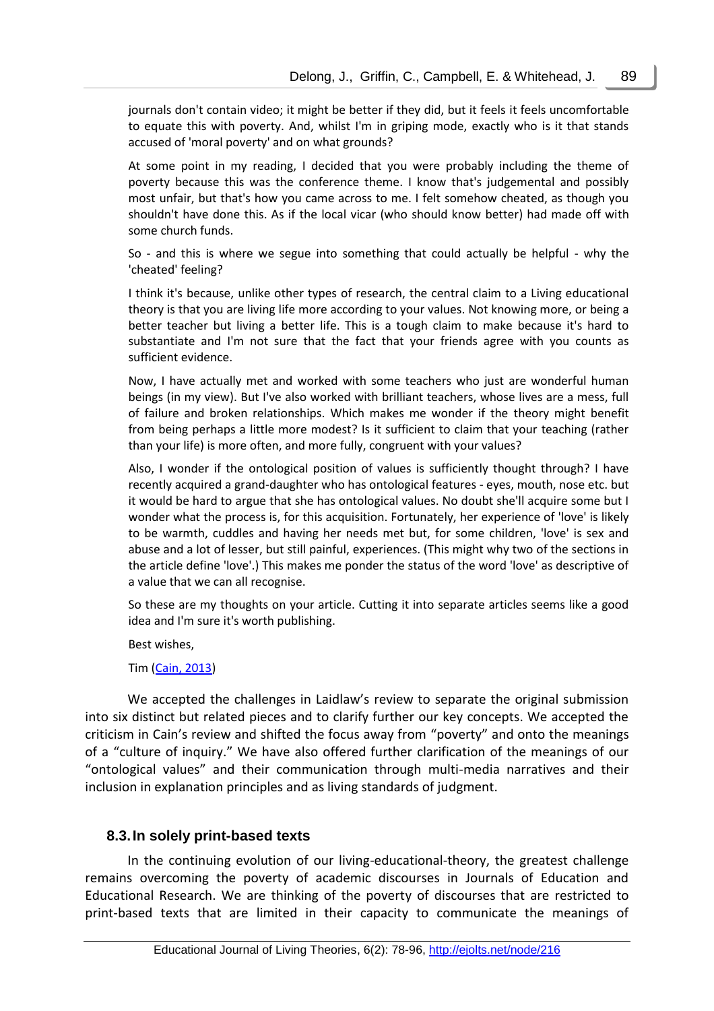journals don't contain video; it might be better if they did, but it feels it feels uncomfortable to equate this with poverty. And, whilst I'm in griping mode, exactly who is it that stands accused of 'moral poverty' and on what grounds?

At some point in my reading, I decided that you were probably including the theme of poverty because this was the conference theme. I know that's judgemental and possibly most unfair, but that's how you came across to me. I felt somehow cheated, as though you shouldn't have done this. As if the local vicar (who should know better) had made off with some church funds.

So - and this is where we segue into something that could actually be helpful - why the 'cheated' feeling?

I think it's because, unlike other types of research, the central claim to a Living educational theory is that you are living life more according to your values. Not knowing more, or being a better teacher but living a better life. This is a tough claim to make because it's hard to substantiate and I'm not sure that the fact that your friends agree with you counts as sufficient evidence.

Now, I have actually met and worked with some teachers who just are wonderful human beings (in my view). But I've also worked with brilliant teachers, whose lives are a mess, full of failure and broken relationships. Which makes me wonder if the theory might benefit from being perhaps a little more modest? Is it sufficient to claim that your teaching (rather than your life) is more often, and more fully, congruent with your values?

Also, I wonder if the ontological position of values is sufficiently thought through? I have recently acquired a grand-daughter who has ontological features - eyes, mouth, nose etc. but it would be hard to argue that she has ontological values. No doubt she'll acquire some but I wonder what the process is, for this acquisition. Fortunately, her experience of 'love' is likely to be warmth, cuddles and having her needs met but, for some children, 'love' is sex and abuse and a lot of lesser, but still painful, experiences. (This might why two of the sections in the article define 'love'.) This makes me ponder the status of the word 'love' as descriptive of a value that we can all recognise.

So these are my thoughts on your article. Cutting it into separate articles seems like a good idea and I'm sure it's worth publishing.

Best wishes,

Tim [\(Cain, 2013\)](http://ejolts.org/mod/forum/discuss.php?d=88)

We accepted the challenges in Laidlaw's review to separate the original submission into six distinct but related pieces and to clarify further our key concepts. We accepted the criticism in Cain's review and shifted the focus away from "poverty" and onto the meanings of a "culture of inquiry." We have also offered further clarification of the meanings of our "ontological values" and their communication through multi-media narratives and their inclusion in explanation principles and as living standards of judgment.

#### **8.3.In solely print-based texts**

In the continuing evolution of our living-educational-theory, the greatest challenge remains overcoming the poverty of academic discourses in Journals of Education and Educational Research. We are thinking of the poverty of discourses that are restricted to print-based texts that are limited in their capacity to communicate the meanings of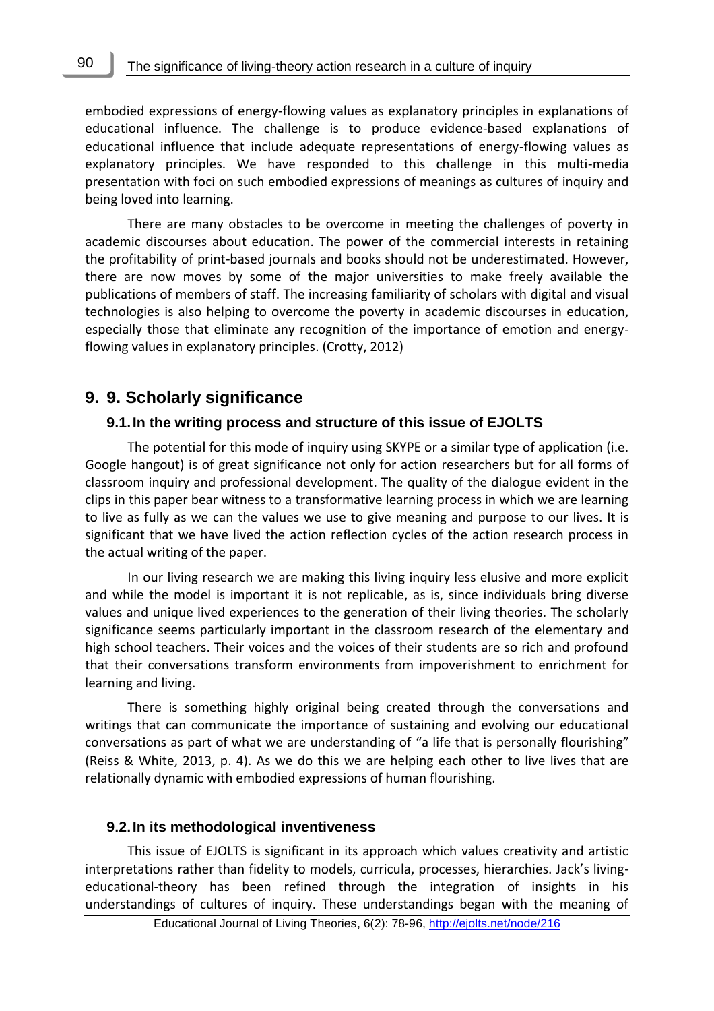embodied expressions of energy-flowing values as explanatory principles in explanations of educational influence. The challenge is to produce evidence-based explanations of educational influence that include adequate representations of energy-flowing values as explanatory principles. We have responded to this challenge in this multi-media presentation with foci on such embodied expressions of meanings as cultures of inquiry and being loved into learning.

There are many obstacles to be overcome in meeting the challenges of poverty in academic discourses about education. The power of the commercial interests in retaining the profitability of print-based journals and books should not be underestimated. However, there are now moves by some of the major universities to make freely available the publications of members of staff. The increasing familiarity of scholars with digital and visual technologies is also helping to overcome the poverty in academic discourses in education, especially those that eliminate any recognition of the importance of emotion and energyflowing values in explanatory principles. (Crotty, 2012)

### **9. 9. Scholarly significance**

#### **9.1.In the writing process and structure of this issue of EJOLTS**

The potential for this mode of inquiry using SKYPE or a similar type of application (i.e. Google hangout) is of great significance not only for action researchers but for all forms of classroom inquiry and professional development. The quality of the dialogue evident in the clips in this paper bear witness to a transformative learning process in which we are learning to live as fully as we can the values we use to give meaning and purpose to our lives. It is significant that we have lived the action reflection cycles of the action research process in the actual writing of the paper.

In our living research we are making this living inquiry less elusive and more explicit and while the model is important it is not replicable, as is, since individuals bring diverse values and unique lived experiences to the generation of their living theories. The scholarly significance seems particularly important in the classroom research of the elementary and high school teachers. Their voices and the voices of their students are so rich and profound that their conversations transform environments from impoverishment to enrichment for learning and living.

There is something highly original being created through the conversations and writings that can communicate the importance of sustaining and evolving our educational conversations as part of what we are understanding of "a life that is personally flourishing" (Reiss & White, 2013, p. 4). As we do this we are helping each other to live lives that are relationally dynamic with embodied expressions of human flourishing.

#### **9.2.In its methodological inventiveness**

This issue of EJOLTS is significant in its approach which values creativity and artistic interpretations rather than fidelity to models, curricula, processes, hierarchies. Jack's livingeducational-theory has been refined through the integration of insights in his understandings of cultures of inquiry. These understandings began with the meaning of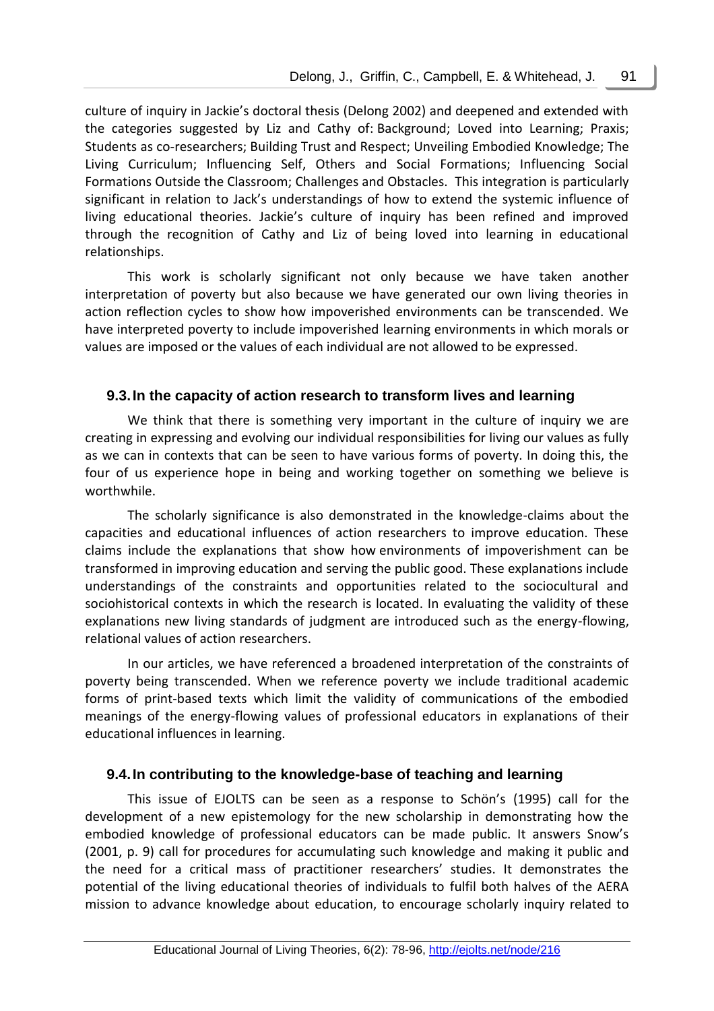culture of inquiry in Jackie's doctoral thesis (Delong 2002) and deepened and extended with the categories suggested by Liz and Cathy of: Background; Loved into Learning; Praxis; Students as co-researchers; Building Trust and Respect; Unveiling Embodied Knowledge; The Living Curriculum; Influencing Self, Others and Social Formations; Influencing Social Formations Outside the Classroom; Challenges and Obstacles. This integration is particularly significant in relation to Jack's understandings of how to extend the systemic influence of living educational theories. Jackie's culture of inquiry has been refined and improved through the recognition of Cathy and Liz of being loved into learning in educational relationships.

This work is scholarly significant not only because we have taken another interpretation of poverty but also because we have generated our own living theories in action reflection cycles to show how impoverished environments can be transcended. We have interpreted poverty to include impoverished learning environments in which morals or values are imposed or the values of each individual are not allowed to be expressed.

### **9.3.In the capacity of action research to transform lives and learning**

We think that there is something very important in the culture of inquiry we are creating in expressing and evolving our individual responsibilities for living our values as fully as we can in contexts that can be seen to have various forms of poverty. In doing this, the four of us experience hope in being and working together on something we believe is worthwhile.

The scholarly significance is also demonstrated in the knowledge-claims about the capacities and educational influences of action researchers to improve education. These claims include the explanations that show how environments of impoverishment can be transformed in improving education and serving the public good. These explanations include understandings of the constraints and opportunities related to the sociocultural and sociohistorical contexts in which the research is located. In evaluating the validity of these explanations new living standards of judgment are introduced such as the energy-flowing, relational values of action researchers.

In our articles, we have referenced a broadened interpretation of the constraints of poverty being transcended. When we reference poverty we include traditional academic forms of print-based texts which limit the validity of communications of the embodied meanings of the energy-flowing values of professional educators in explanations of their educational influences in learning.

#### **9.4.In contributing to the knowledge-base of teaching and learning**

This issue of EJOLTS can be seen as a response to Schön's (1995) call for the development of a new epistemology for the new scholarship in demonstrating how the embodied knowledge of professional educators can be made public. It answers Snow's (2001, p. 9) call for procedures for accumulating such knowledge and making it public and the need for a critical mass of practitioner researchers' studies. It demonstrates the potential of the living educational theories of individuals to fulfil both halves of the AERA mission to advance knowledge about education, to encourage scholarly inquiry related to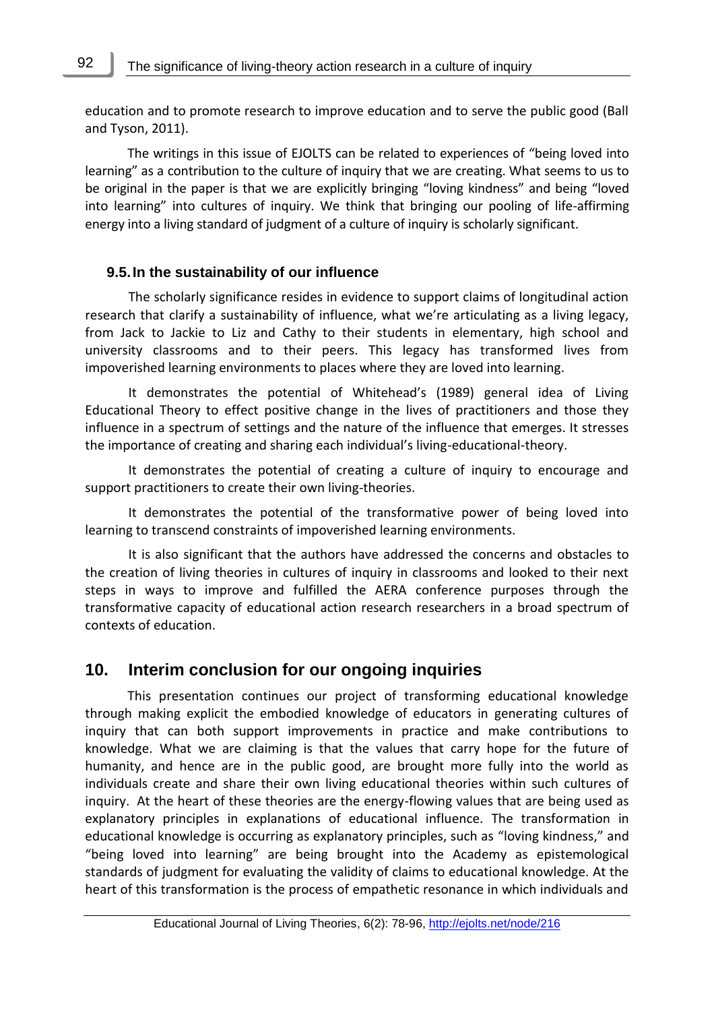education and to promote research to improve education and to serve the public good (Ball and Tyson, 2011).

The writings in this issue of EJOLTS can be related to experiences of "being loved into learning" as a contribution to the culture of inquiry that we are creating. What seems to us to be original in the paper is that we are explicitly bringing "loving kindness" and being "loved into learning" into cultures of inquiry. We think that bringing our pooling of life-affirming energy into a living standard of judgment of a culture of inquiry is scholarly significant.

### **9.5.In the sustainability of our influence**

The scholarly significance resides in evidence to support claims of longitudinal action research that clarify a sustainability of influence, what we're articulating as a living legacy, from Jack to Jackie to Liz and Cathy to their students in elementary, high school and university classrooms and to their peers. This legacy has transformed lives from impoverished learning environments to places where they are loved into learning.

It demonstrates the potential of Whitehead's (1989) general idea of Living Educational Theory to effect positive change in the lives of practitioners and those they influence in a spectrum of settings and the nature of the influence that emerges. It stresses the importance of creating and sharing each individual's living-educational-theory.

It demonstrates the potential of creating a culture of inquiry to encourage and support practitioners to create their own living-theories.

It demonstrates the potential of the transformative power of being loved into learning to transcend constraints of impoverished learning environments.

It is also significant that the authors have addressed the concerns and obstacles to the creation of living theories in cultures of inquiry in classrooms and looked to their next steps in ways to improve and fulfilled the AERA conference purposes through the transformative capacity of educational action research researchers in a broad spectrum of contexts of education.

## **10. Interim conclusion for our ongoing inquiries**

This presentation continues our project of transforming educational knowledge through making explicit the embodied knowledge of educators in generating cultures of inquiry that can both support improvements in practice and make contributions to knowledge. What we are claiming is that the values that carry hope for the future of humanity, and hence are in the public good, are brought more fully into the world as individuals create and share their own living educational theories within such cultures of inquiry. At the heart of these theories are the energy-flowing values that are being used as explanatory principles in explanations of educational influence. The transformation in educational knowledge is occurring as explanatory principles, such as "loving kindness," and "being loved into learning" are being brought into the Academy as epistemological standards of judgment for evaluating the validity of claims to educational knowledge. At the heart of this transformation is the process of empathetic resonance in which individuals and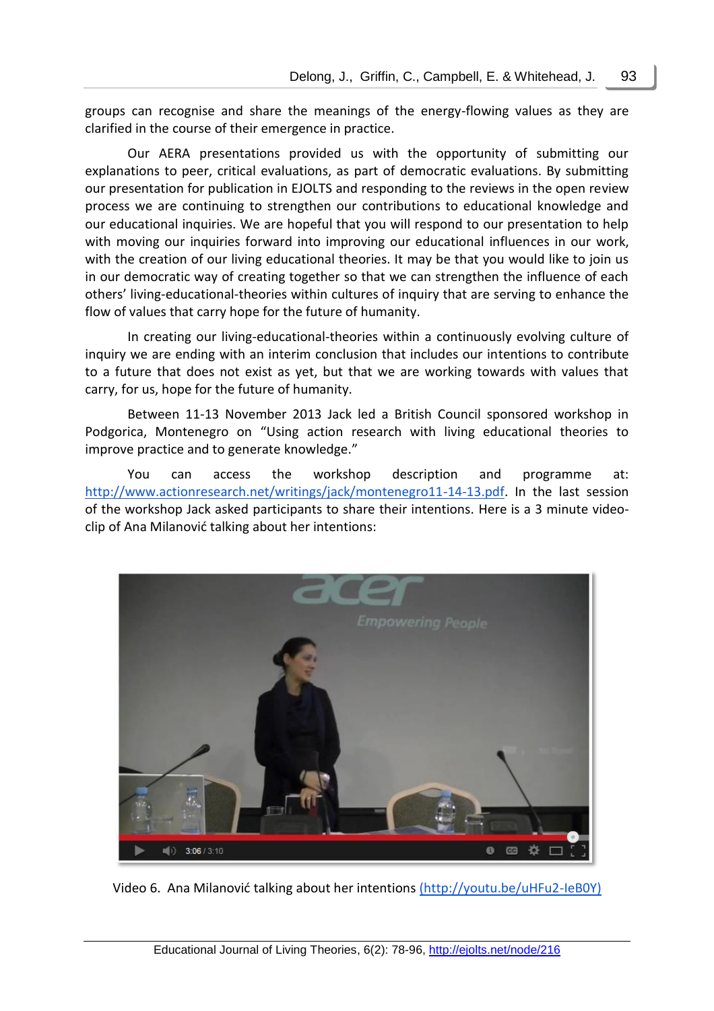groups can recognise and share the meanings of the energy-flowing values as they are clarified in the course of their emergence in practice.

Our AERA presentations provided us with the opportunity of submitting our explanations to peer, critical evaluations, as part of democratic evaluations. By submitting our presentation for publication in EJOLTS and responding to the reviews in the open review process we are continuing to strengthen our contributions to educational knowledge and our educational inquiries. We are hopeful that you will respond to our presentation to help with moving our inquiries forward into improving our educational influences in our work, with the creation of our living educational theories. It may be that you would like to join us in our democratic way of creating together so that we can strengthen the influence of each others' living-educational-theories within cultures of inquiry that are serving to enhance the flow of values that carry hope for the future of humanity.

In creating our living-educational-theories within a continuously evolving culture of inquiry we are ending with an interim conclusion that includes our intentions to contribute to a future that does not exist as yet, but that we are working towards with values that carry, for us, hope for the future of humanity.

Between 11-13 November 2013 Jack led a British Council sponsored workshop in Podgorica, Montenegro on "Using action research with living educational theories to improve practice and to generate knowledge."

You can access the workshop description and programme at: [http://www.actionresearch.net/writings/jack/montenegro11-14-13.pdf.](http://www.actionresearch.net/writings/jack/montenegro11-14-13.pdf) In the last session of the workshop Jack asked participants to share their intentions. Here is a 3 minute videoclip of Ana Milanović talking about her intentions:



Video 6. Ana Milanović talking about her intentions (http://youtu.be/uHFu2-IeB0Y)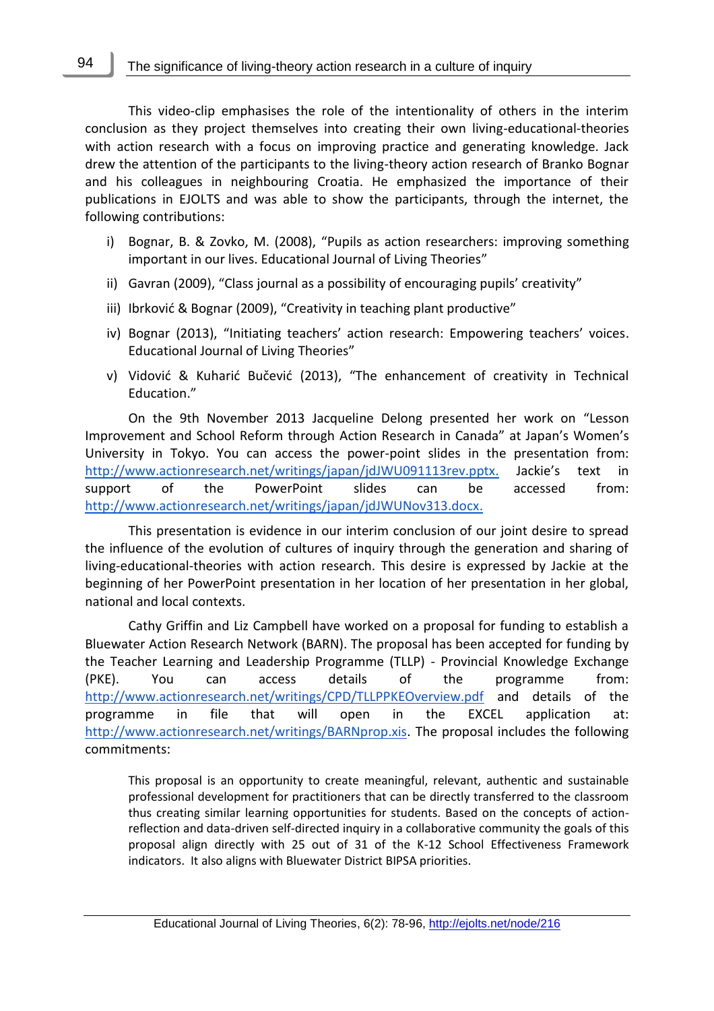This video-clip emphasises the role of the intentionality of others in the interim conclusion as they project themselves into creating their own living-educational-theories with action research with a focus on improving practice and generating knowledge. Jack drew the attention of the participants to the living-theory action research of Branko Bognar and his colleagues in neighbouring Croatia. He emphasized the importance of their publications in EJOLTS and was able to show the participants, through the internet, the following contributions:

- i) Bognar, B. & Zovko, M. (2008), "Pupils as action researchers: improving something important in our lives. Educational Journal of Living Theories"
- ii) Gavran (2009), "Class journal as a possibility of encouraging pupils' creativity"
- iii) Ibrković & Bognar (2009), "Creativity in teaching plant productive"
- iv) Bognar (2013), "Initiating teachers' action research: Empowering teachers' voices. Educational Journal of Living Theories"
- v) Vidović & Kuharić Bučević (2013), "[The enhancement of creativity in Technical](http://ejolts.net/node/204)  [Education](http://ejolts.net/node/204)."

On the 9th November 2013 Jacqueline Delong presented her work on "Lesson Improvement and School Reform through Action Research in Canada" at Japan's Women's University in Tokyo. You can access the power-point slides in the presentation from: [http://www.actionresearch.net/writings/japan/jdJWU091113rev.pptx.](http://www.actionresearch.net/writings/japan/jdJWU091113rev.pptx) Jackie's text in support of the PowerPoint slides can be accessed from: [http://www.actionresearch.net/writings/japan/jdJWUNov313.docx.](http://www.actionresearch.net/writings/japan/jdJWUNov313.docx)

This presentation is evidence in our interim conclusion of our joint desire to spread the influence of the evolution of cultures of inquiry through the generation and sharing of living-educational-theories with action research. This desire is expressed by Jackie at the beginning of her PowerPoint presentation in her location of her presentation in her global, national and local contexts.

Cathy Griffin and Liz Campbell have worked on a proposal for funding to establish a Bluewater Action Research Network (BARN). The proposal has been accepted for funding by the Teacher Learning and Leadership Programme (TLLP) - Provincial Knowledge Exchange (PKE). You can access details of the programme from: <http://www.actionresearch.net/writings/CPD/TLLPPKEOverview.pdf> and details of the programme in file that will open in the EXCEL application at: [http://www.actionresearch.net/writings/BARNprop.xis.](http://www.actionresearch.net/writings/BARNprop.xis) The proposal includes the following commitments:

This proposal is an opportunity to create meaningful, relevant, authentic and sustainable professional development for practitioners that can be directly transferred to the classroom thus creating similar learning opportunities for students. Based on the concepts of actionreflection and data-driven self-directed inquiry in a collaborative community the goals of this proposal align directly with 25 out of 31 of the K-12 School Effectiveness Framework indicators. It also aligns with Bluewater District BIPSA priorities.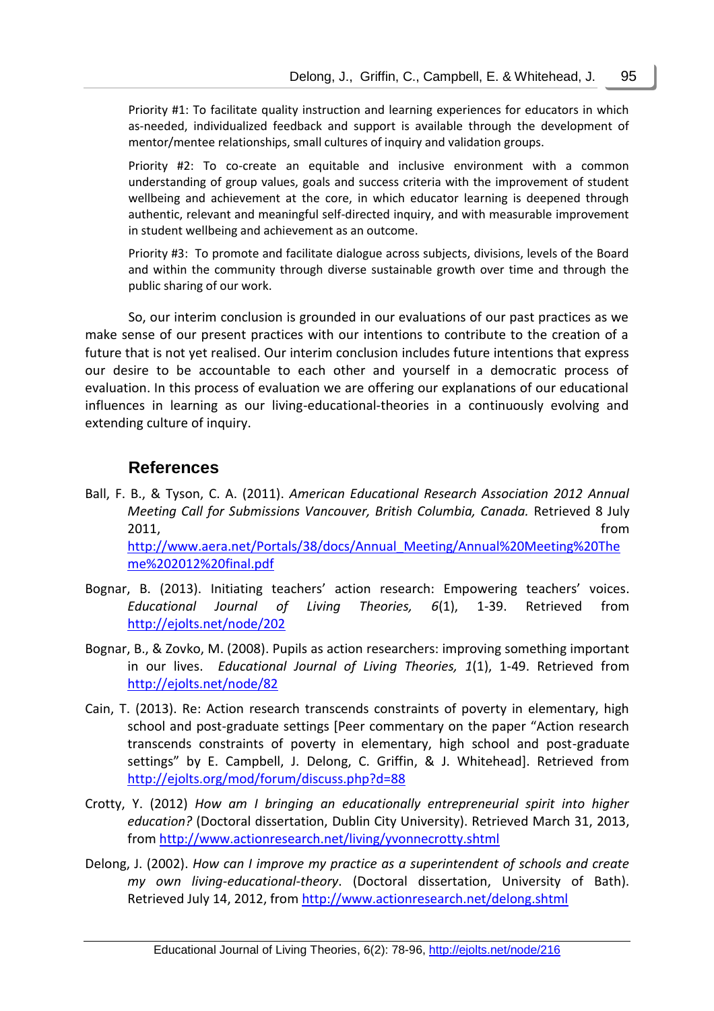Priority #1: To facilitate quality instruction and learning experiences for educators in which as-needed, individualized feedback and support is available through the development of mentor/mentee relationships, small cultures of inquiry and validation groups.

Priority #2: To co-create an equitable and inclusive environment with a common understanding of group values, goals and success criteria with the improvement of student wellbeing and achievement at the core, in which educator learning is deepened through authentic, relevant and meaningful self-directed inquiry, and with measurable improvement in student wellbeing and achievement as an outcome.

Priority #3: To promote and facilitate dialogue across subjects, divisions, levels of the Board and within the community through diverse sustainable growth over time and through the public sharing of our work.

So, our interim conclusion is grounded in our evaluations of our past practices as we make sense of our present practices with our intentions to contribute to the creation of a future that is not yet realised. Our interim conclusion includes future intentions that express our desire to be accountable to each other and yourself in a democratic process of evaluation. In this process of evaluation we are offering our explanations of our educational influences in learning as our living-educational-theories in a continuously evolving and extending culture of inquiry.

## **References**

- Ball, F. B., & Tyson, C. A. (2011). *American Educational Research Association 2012 Annual Meeting Call for Submissions Vancouver, British Columbia, Canada.* Retrieved 8 July 2011, from [http://www.aera.net/Portals/38/docs/Annual\\_Meeting/Annual%20Meeting%20The](http://www.aera.net/Portals/38/docs/Annual_Meeting/Annual%20Meeting%20Theme%202012%20final.pdf) [me%202012%20final.pdf](http://www.aera.net/Portals/38/docs/Annual_Meeting/Annual%20Meeting%20Theme%202012%20final.pdf)
- Bognar, B. (2013). [Initiating teachers' action research: Empowering teachers' voices](http://ejolts.net/node/202). *Educational Journal of Living Theories, 6*(1), 1-39. Retrieved from <http://ejolts.net/node/202>
- Bognar, B., & Zovko, M. (2008). [Pupils as action researchers: improving something important](http://ejolts.net/node/82)  [in our lives.](http://ejolts.net/node/82) *Educational Journal of Living Theories, 1*(1), 1-49. Retrieved from <http://ejolts.net/node/82>
- Cain, T. (2013). Re: Action research transcends constraints of poverty in elementary, high school and post-graduate settings [Peer commentary on the paper "Action research transcends constraints of poverty in elementary, high school and post-graduate settings" by E. Campbell, J. Delong, C. Griffin, & J. Whitehead]. Retrieved from <http://ejolts.org/mod/forum/discuss.php?d=88>
- Crotty, Y. (2012) *[How am I bringing an educationally entrepreneurial spirit into higher](http://www.actionresearch.net/living/yvonnecrotty.shtml)  education?* [\(Doctoral dissertation,](http://www.actionresearch.net/living/yvonnecrotty.shtml) Dublin City University). Retrieved March 31, 2013, from<http://www.actionresearch.net/living/yvonnecrotty.shtml>
- Delong, J. (2002). *How can I improve my practice as a superintendent of schools and create my own living-educational-theory*. (Doctoral dissertation, University of Bath). Retrieved July 14, 2012, from<http://www.actionresearch.net/delong.shtml>